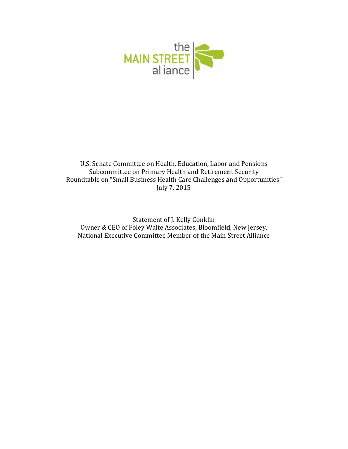

U.S. Senate Committee on Health, Education, Labor and Pensions Subcommittee on Primary Health and Retirement Security Roundtable on "Small Business Health Care Challenges and Opportunities" July 7, 2015

Statement of J. Kelly Conklin Owner & CEO of Foley Waite Associates, Bloomfield, New Jersey, National Executive Committee Member of the Main Street Alliance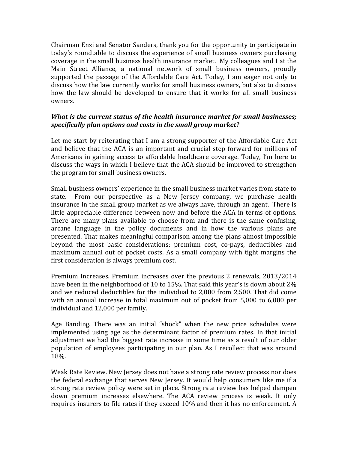Chairman Enzi and Senator Sanders, thank you for the opportunity to participate in today's roundtable to discuss the experience of small business owners purchasing coverage in the small business health insurance market. My colleagues and I at the Main Street Alliance, a national network of small business owners, proudly supported the passage of the Affordable Care Act. Today, I am eager not only to discuss how the law currently works for small business owners, but also to discuss how the law should be developed to ensure that it works for all small business owners. 

## *What is the current status of the health insurance market for small businesses; specifically plan options and costs in the small group market?*

Let me start by reiterating that I am a strong supporter of the Affordable Care Act and believe that the ACA is an important and crucial step forward for millions of Americans in gaining access to affordable healthcare coverage. Today, I'm here to discuss the ways in which I believe that the ACA should be improved to strengthen the program for small business owners.

Small business owners' experience in the small business market varies from state to state. From our perspective as a New Jersey company, we purchase health insurance in the small group market as we always have, through an agent. There is little appreciable difference between now and before the ACA in terms of options. There are many plans available to choose from and there is the same confusing, arcane language in the policy documents and in how the various plans are presented. That makes meaningful comparison among the plans almost impossible beyond the most basic considerations: premium cost, co-pays, deductibles and maximum annual out of pocket costs. As a small company with tight margins the first consideration is always premium cost.

Premium Increases. Premium increases over the previous 2 renewals, 2013/2014 have been in the neighborhood of 10 to 15%. That said this vear's is down about  $2\%$ and we reduced deductibles for the individual to 2,000 from 2,500. That did come with an annual increase in total maximum out of pocket from 5,000 to 6,000 per individual and 12,000 per family.

Age Banding. There was an initial "shock" when the new price schedules were implemented using age as the determinant factor of premium rates. In that initial adjustment we had the biggest rate increase in some time as a result of our older population of employees participating in our plan. As I recollect that was around 18%. 

Weak Rate Review. New Jersey does not have a strong rate review process nor does the federal exchange that serves New Jersey. It would help consumers like me if a strong rate review policy were set in place. Strong rate review has helped dampen down premium increases elsewhere. The ACA review process is weak. It only requires insurers to file rates if they exceed 10% and then it has no enforcement. A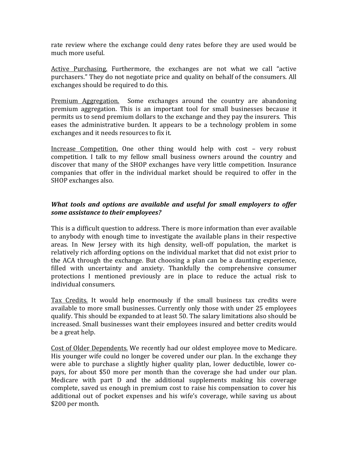rate review where the exchange could deny rates before they are used would be much more useful.

Active Purchasing. Furthermore, the exchanges are not what we call "active purchasers." They do not negotiate price and quality on behalf of the consumers. All exchanges should be required to do this.

Premium Aggregation. Some exchanges around the country are abandoning premium aggregation. This is an important tool for small businesses because it permits us to send premium dollars to the exchange and they pay the insurers. This eases the administrative burden. It appears to be a technology problem in some exchanges and it needs resources to fix it.

Increase Competition. One other thing would help with cost - very robust competition. I talk to my fellow small business owners around the country and discover that many of the SHOP exchanges have very little competition. Insurance companies that offer in the individual market should be required to offer in the SHOP exchanges also.

## *What tools and options are available and useful for small employers to offer some assistance to their employees?*

This is a difficult question to address. There is more information than ever available to anybody with enough time to investigate the available plans in their respective areas. In New Jersey with its high density, well-off population, the market is relatively rich affording options on the individual market that did not exist prior to the ACA through the exchange. But choosing a plan can be a daunting experience, filled with uncertainty and anxiety. Thankfully the comprehensive consumer protections I mentioned previously are in place to reduce the actual risk to individual consumers.

Tax Credits. It would help enormously if the small business tax credits were available to more small businesses. Currently only those with under 25 employees qualify. This should be expanded to at least 50. The salary limitations also should be increased. Small businesses want their employees insured and better credits would be a great help.

Cost of Older Dependents. We recently had our oldest employee move to Medicare. His younger wife could no longer be covered under our plan. In the exchange they were able to purchase a slightly higher quality plan, lower deductible, lower copays, for about \$50 more per month than the coverage she had under our plan. Medicare with part D and the additional supplements making his coverage complete, saved us enough in premium cost to raise his compensation to cover his additional out of pocket expenses and his wife's coverage, while saving us about \$200 per month.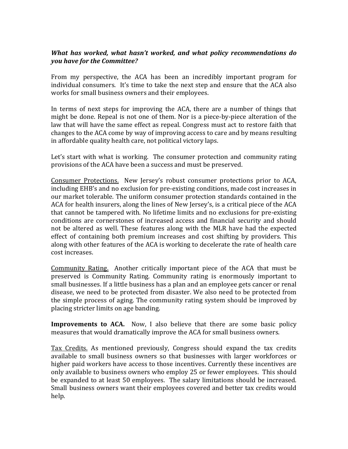## *What has worked, what hasn't worked, and what policy recommendations do you have for the Committee?*

From my perspective, the ACA has been an incredibly important program for individual consumers. It's time to take the next step and ensure that the ACA also works for small business owners and their employees.

In terms of next steps for improving the ACA, there are a number of things that might be done. Repeal is not one of them. Nor is a piece-by-piece alteration of the law that will have the same effect as repeal. Congress must act to restore faith that changes to the ACA come by way of improving access to care and by means resulting in affordable quality health care, not political victory laps.

Let's start with what is working. The consumer protection and community rating provisions of the ACA have been a success and must be preserved.

Consumer Protections. New Jersey's robust consumer protections prior to ACA, including EHB's and no exclusion for pre-existing conditions, made cost increases in our market tolerable. The uniform consumer protection standards contained in the ACA for health insurers, along the lines of New Jersey's, is a critical piece of the ACA that cannot be tampered with. No lifetime limits and no exclusions for pre-existing conditions are cornerstones of increased access and financial security and should not be altered as well. These features along with the MLR have had the expected effect of containing both premium increases and cost shifting by providers. This along with other features of the ACA is working to decelerate the rate of health care cost increases.

Community Rating. Another critically important piece of the ACA that must be preserved is Community Rating. Community rating is enormously important to small businesses. If a little business has a plan and an employee gets cancer or renal disease, we need to be protected from disaster. We also need to be protected from the simple process of aging. The community rating system should be improved by placing stricter limits on age banding.

**Improvements to ACA.** Now, I also believe that there are some basic policy measures that would dramatically improve the ACA for small business owners.

Tax Credits. As mentioned previously, Congress should expand the tax credits available to small business owners so that businesses with larger workforces or higher paid workers have access to those incentives. Currently these incentives are only available to business owners who employ 25 or fewer employees. This should be expanded to at least 50 employees. The salary limitations should be increased. Small business owners want their employees covered and better tax credits would help.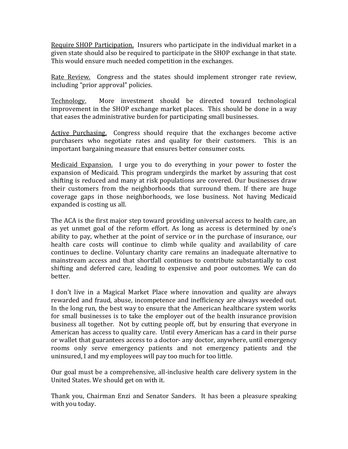Require SHOP Participation. Insurers who participate in the individual market in a given state should also be required to participate in the SHOP exchange in that state. This would ensure much needed competition in the exchanges.

Rate Review. Congress and the states should implement stronger rate review, including "prior approval" policies.

Technology. More investment should be directed toward technological improvement in the SHOP exchange market places. This should be done in a way that eases the administrative burden for participating small businesses.

Active Purchasing. Congress should require that the exchanges become active purchasers who negotiate rates and quality for their customers. This is an important bargaining measure that ensures better consumer costs.

Medicaid Expansion. I urge you to do everything in your power to foster the expansion of Medicaid. This program undergirds the market by assuring that cost shifting is reduced and many at risk populations are covered. Our businesses draw their customers from the neighborhoods that surround them. If there are huge coverage gaps in those neighborhoods, we lose business. Not having Medicaid expanded is costing us all.

The ACA is the first major step toward providing universal access to health care, an as yet unmet goal of the reform effort. As long as access is determined by one's ability to pay, whether at the point of service or in the purchase of insurance, our health care costs will continue to climb while quality and availability of care continues to decline. Voluntary charity care remains an inadequate alternative to mainstream access and that shortfall continues to contribute substantially to cost shifting and deferred care, leading to expensive and poor outcomes. We can do better. 

I don't live in a Magical Market Place where innovation and quality are always rewarded and fraud, abuse, incompetence and inefficiency are always weeded out. In the long run, the best way to ensure that the American healthcare system works for small businesses is to take the employer out of the health insurance provision business all together. Not by cutting people off, but by ensuring that everyone in American has access to quality care. Until every American has a card in their purse or wallet that guarantees access to a doctor- any doctor, anywhere, until emergency rooms only serve emergency patients and not emergency patients and the uninsured, I and my employees will pay too much for too little.

Our goal must be a comprehensive, all-inclusive health care delivery system in the United States. We should get on with it.

Thank you, Chairman Enzi and Senator Sanders. It has been a pleasure speaking with you today.